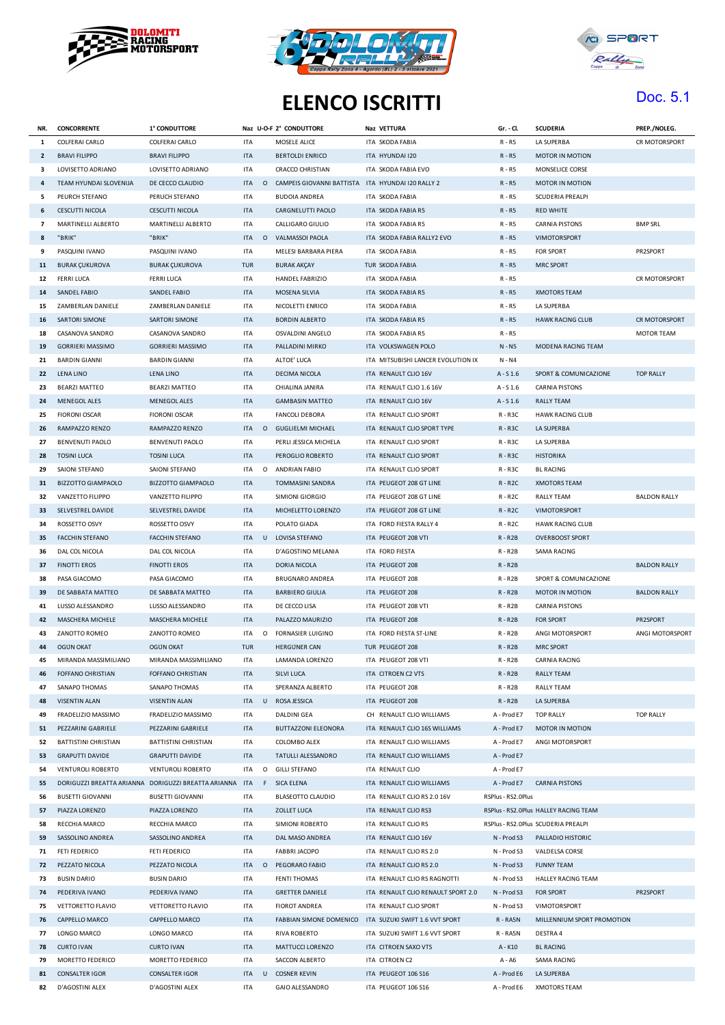





## **ELENCO ISCRITTI** Doc. 5.1

| NR.            | <b>CONCORRENTE</b>        | 1° CONDUTTORE                                           |            |         | Naz U-O-F 2° CONDUTTORE                             | Naz VETTURA                        | Gr. - Cl.          | <b>SCUDERIA</b>                       | PREP./NOLEG.        |
|----------------|---------------------------|---------------------------------------------------------|------------|---------|-----------------------------------------------------|------------------------------------|--------------------|---------------------------------------|---------------------|
| 1              | COLFERAI CARLO            | COLFERAI CARLO                                          | <b>ITA</b> |         | MOSELE ALICE                                        | ITA SKODA FABIA                    | R - R5             | LA SUPERBA                            | CR MOTORSPORT       |
| $\overline{2}$ | <b>BRAVI FILIPPO</b>      | <b>BRAVI FILIPPO</b>                                    | <b>ITA</b> |         | <b>BERTOLDI ENRICO</b>                              | ITA HYUNDAI I20                    | $R - R5$           | MOTOR IN MOTION                       |                     |
| 3              | LOVISETTO ADRIANO         | LOVISETTO ADRIANO                                       | <b>ITA</b> |         | <b>CRACCO CHRISTIAN</b>                             | ITA SKODA FABIA EVO                | R - R5             | MONSELICE CORSE                       |                     |
| 4              | TEAM HYUNDAI SLOVENIJA    | DE CECCO CLAUDIO                                        | <b>ITA</b> |         | O CAMPEIS GIOVANNI BATTISTA ITA HYUNDAI I20 RALLY 2 |                                    | $R - R5$           | MOTOR IN MOTION                       |                     |
| 5              | PEURCH STEFANO            | PERUCH STEFANO                                          | <b>ITA</b> |         | <b>BUDOIA ANDREA</b>                                | ITA SKODA FABIA                    | R - R5             | SCUDERIA PREALPI                      |                     |
| 6              | <b>CESCUTTI NICOLA</b>    | <b>CESCUTTI NICOLA</b>                                  | <b>ITA</b> |         | CARGNELUTTI PAOLO                                   | ITA SKODA FABIA R5                 | $R - R5$           | <b>RED WHITE</b>                      |                     |
| $\overline{7}$ | MARTINELLI ALBERTO        | MARTINELLI ALBERTO                                      | <b>ITA</b> |         | CALLIGARO GIULIO                                    | ITA SKODA FABIA R5                 | R - R5             | <b>CARNIA PISTONS</b>                 | <b>BMP SRL</b>      |
| 8              | "BRIK"                    | "BRIK"                                                  | <b>ITA</b> |         | O VALMASSOI PAOLA                                   | ITA SKODA FABIA RALLY2 EVO         | $R - R5$           | <b>VIMOTORSPORT</b>                   |                     |
| 9              | PASQUINI IVANO            | PASQUINI IVANO                                          | <b>ITA</b> |         | MELESI BARBARA PIERA                                | ITA SKODA FABIA                    | R - R5             | FOR SPORT                             | PR2SPORT            |
| 11             | <b>BURAK ÇUKUROVA</b>     | <b>BURAK ÇUKUROVA</b>                                   | <b>TUR</b> |         | <b>BURAK AKÇAY</b>                                  | TUR SKODA FABIA                    | $R - R5$           | <b>MRC SPORT</b>                      |                     |
| 12             | <b>FERRI LUCA</b>         | FERRI LUCA                                              | ITA        |         | HANDEL FABRIZIO                                     | ITA SKODA FABIA                    | R - R5             |                                       | CR MOTORSPORT       |
| 14             | SANDEL FABIO              | SANDEL FABIO                                            | <b>ITA</b> |         | MOSENA SILVIA                                       | ITA SKODA FABIA R5                 | $R - R5$           | <b>XMOTORS TEAM</b>                   |                     |
| 15             | ZAMBERLAN DANIELE         | ZAMBERLAN DANIELE                                       | <b>ITA</b> |         | NICOLETTI ENRICO                                    | ITA SKODA FABIA                    | R - R5             | LA SUPERBA                            |                     |
| 16             | SARTORI SIMONE            | SARTORI SIMONE                                          | <b>ITA</b> |         | <b>BORDIN ALBERTO</b>                               | ITA SKODA FABIA R5                 | R - R5             | <b>HAWK RACING CLUB</b>               | CR MOTORSPORT       |
| 18             | CASANOVA SANDRO           | CASANOVA SANDRO                                         | <b>ITA</b> |         | OSVALDINI ANGELO                                    | ITA SKODA FABIA R5                 | R - R5             |                                       | <b>MOTOR TEAM</b>   |
| 19             | <b>GORRIERI MASSIMO</b>   | <b>GORRIERI MASSIMO</b>                                 | <b>ITA</b> |         | PALLADINI MIRKO                                     | ITA VOLKSWAGEN POLO                | N - N5             | MODENA RACING TEAM                    |                     |
| 21             | <b>BARDIN GIANNI</b>      | <b>BARDIN GIANNI</b>                                    | ITA        |         | ALTOE' LUCA                                         | ITA MITSUBISHI LANCER EVOLUTION IX | N - N4             |                                       |                     |
| 22             | <b>LENA LINO</b>          | LENA LINO                                               | <b>ITA</b> |         | DECIMA NICOLA                                       | ITA RENAULT CLIO 16V               | $A - S 1.6$        | SPORT & COMUNICAZIONE                 | <b>TOP RALLY</b>    |
| 23             | <b>BEARZI MATTEO</b>      | <b>BEARZI MATTEO</b>                                    | <b>ITA</b> |         | CHIALINA JANIRA                                     | ITA RENAULT CLIO 1.6 16V           | $A - S1.6$         | <b>CARNIA PISTONS</b>                 |                     |
| 24             | MENEGOL ALES              | MENEGOL ALES                                            | <b>ITA</b> |         | <b>GAMBASIN MATTEO</b>                              | ITA RENAULT CLIO 16V               | $A - S 1.6$        | <b>RALLY TEAM</b>                     |                     |
| 25             | <b>FIORONI OSCAR</b>      | <b>FIORONI OSCAR</b>                                    | <b>ITA</b> |         | <b>FANCOLI DEBORA</b>                               | ITA RENAULT CLIO SPORT             | $R - R3C$          | <b>HAWK RACING CLUB</b>               |                     |
| 26             | RAMPAZZO RENZO            | RAMPAZZO RENZO                                          | <b>ITA</b> |         | O GUGLIELMI MICHAEL                                 | ITA RENAULT CLIO SPORT TYPE        | $R - R3C$          | LA SUPERBA                            |                     |
| 27             | <b>BENVENUTI PAOLO</b>    | <b>BENVENUTI PAOLO</b>                                  | <b>ITA</b> |         | PERLI JESSICA MICHELA                               | ITA RENAULT CLIO SPORT             | $R - R3C$          | LA SUPERBA                            |                     |
| 28             | <b>TOSINI LUCA</b>        | <b>TOSINI LUCA</b>                                      | <b>ITA</b> |         | PEROGLIO ROBERTO                                    | ITA RENAULT CLIO SPORT             | $R - R3C$          | <b>HISTORIKA</b>                      |                     |
| 29             | SAIONI STEFANO            | SAIONI STEFANO                                          | <b>ITA</b> |         | O ANDRIAN FABIO                                     | ITA RENAULT CLIO SPORT             | R-R3C              | <b>BL RACING</b>                      |                     |
| 31             | <b>BIZZOTTO GIAMPAOLO</b> | <b>BIZZOTTO GIAMPAOLO</b>                               | <b>ITA</b> |         | TOMMASINI SANDRA                                    | ITA PEUGEOT 208 GT LINE            | $R - R2C$          | <b>XMOTORS TEAM</b>                   |                     |
| 32             | VANZETTO FILIPPO          | VANZETTO FILIPPO                                        | <b>ITA</b> |         | SIMIONI GIORGIO                                     | ITA PEUGEOT 208 GT LINE            | R-R2C              | <b>RALLY TEAM</b>                     | <b>BALDON RALLY</b> |
| 33             | SELVESTREL DAVIDE         | SELVESTREL DAVIDE                                       | <b>ITA</b> |         | MICHELETTO LORENZO                                  | ITA PEUGEOT 208 GT LINE            | $R - R2C$          | VIMOTORSPORT                          |                     |
| 34             | ROSSETTO OSVY             | ROSSETTO OSVY                                           | <b>ITA</b> |         | POLATO GIADA                                        | ITA FORD FIESTA RALLY 4            | R-R2C              | <b>HAWK RACING CLUB</b>               |                     |
| 35             | <b>FACCHIN STEFANO</b>    | <b>FACCHIN STEFANO</b>                                  | <b>ITA</b> |         | U LOVISA STEFANO                                    | ITA PEUGEOT 208 VTI                | $R - R2B$          | <b>OVERBOOST SPORT</b>                |                     |
| 36             | DAL COL NICOLA            | DAL COL NICOLA                                          | <b>ITA</b> |         | D'AGOSTINO MELANIA                                  | ITA FORD FIESTA                    | $R - R2B$          | SAMA RACING                           |                     |
| 37             | <b>FINOTTI EROS</b>       | <b>FINOTTI EROS</b>                                     | <b>ITA</b> |         | <b>DORIA NICOLA</b>                                 | ITA PEUGEOT 208                    | $R - R2B$          |                                       | <b>BALDON RALLY</b> |
| 38             | PASA GIACOMO              | PASA GIACOMO                                            | <b>ITA</b> |         | BRUGNARO ANDREA                                     | ITA PEUGEOT 208                    | $R - R2B$          | SPORT & COMUNICAZIONE                 |                     |
| 39             | DE SABBATA MATTEO         | DE SABBATA MATTEO                                       | <b>ITA</b> |         | <b>BARBIERO GIULIA</b>                              | ITA PEUGEOT 208                    | $R - R2B$          | MOTOR IN MOTION                       | <b>BALDON RALLY</b> |
| 41             | LUSSO ALESSANDRO          | LUSSO ALESSANDRO                                        | <b>ITA</b> |         | DE CECCO LISA                                       | ITA PEUGEOT 208 VTI                | $R - R2B$          | <b>CARNIA PISTONS</b>                 |                     |
| 42             | MASCHERA MICHELE          | MASCHERA MICHELE                                        | <b>ITA</b> |         | PALAZZO MAURIZIO                                    | ITA PEUGEOT 208                    | $R - R2B$          | <b>FOR SPORT</b>                      | PR2SPORT            |
| 43             | ZANOTTO ROMEO             | ZANOTTO ROMEO                                           | ITA        | $\circ$ | FORNASIER LUIGINO                                   | ITA FORD FIESTA ST-LINE            | R - R2B            | ANGI MOTORSPORT                       | ANGI MOTORSPORT     |
| 44             | <b>OGUN OKAT</b>          | <b>OGUN OKAT</b>                                        | <b>TUR</b> |         | <b>HERGUNER CAN</b>                                 | TUR PEUGEOT 208                    | $R - R2B$          | <b>MRC SPORT</b>                      |                     |
| 45             | MIRANDA MASSIMILIANO      | MIRANDA MASSIMILIANO                                    | <b>ITA</b> |         | LAMANDA LORENZO                                     | ITA PEUGEOT 208 VTI                | $R - R2B$          | CARNIA RACING                         |                     |
| 46             | FOFFANO CHRISTIAN         | FOFFANO CHRISTIAN                                       | <b>ITA</b> |         | SILVI LUCA                                          | ITA CITROEN C2 VTS                 | $R - R2B$          | <b>RALLY TEAM</b>                     |                     |
| 47             | SANAPO THOMAS             | SANAPO THOMAS                                           | ITA        |         | SPERANZA ALBERTO                                    | ITA PEUGEOT 208                    | $R - R2B$          | RALLY TEAM                            |                     |
| 48             | <b>VISENTIN ALAN</b>      | <b>VISENTIN ALAN</b>                                    | <b>ITA</b> |         | U ROSA JESSICA                                      | ITA PEUGEOT 208                    | $R - R2B$          | LA SUPERBA                            |                     |
| 49             | FRADELIZIO MASSIMO        | FRADELIZIO MASSIMO                                      | <b>ITA</b> |         | DALDINI GEA                                         | CH RENAULT CLIO WILLIAMS           | A - Prod E7        | <b>TOP RALLY</b>                      | <b>TOP RALLY</b>    |
| 51             | PEZZARINI GABRIELE        | PEZZARINI GABRIELE                                      | <b>ITA</b> |         | <b>BUTTAZZONI ELEONORA</b>                          | ITA RENAULT CLIO 16S WILLIAMS      | A - Prod E7        | <b>MOTOR IN MOTION</b>                |                     |
| 52             | BATTISTINI CHRISTIAN      | <b>BATTISTINI CHRISTIAN</b>                             | <b>ITA</b> |         | COLOMBO ALEX                                        | ITA RENAULT CLIO WILLIAMS          | A - Prod E7        | ANGI MOTORSPORT                       |                     |
| 53             | <b>GRAPUTTI DAVIDE</b>    | <b>GRAPUTTI DAVIDE</b>                                  | <b>ITA</b> |         | TATULLI ALESSANDRO                                  | ITA RENAULT CLIO WILLIAMS          | A - Prod E7        |                                       |                     |
| 54             | <b>VENTUROLI ROBERTO</b>  | <b>VENTUROLI ROBERTO</b>                                | <b>ITA</b> | $\circ$ | <b>GILLI STEFANO</b>                                | ITA RENAULT CLIO                   | A - Prod E7        |                                       |                     |
| 55             |                           | DORIGUZZI BREATTA ARIANNA DORIGUZZI BREATTA ARIANNA ITA |            |         | F SICA ELENA                                        | ITA RENAULT CLIO WILLIAMS          | A - Prod E7        | <b>CARNIA PISTONS</b>                 |                     |
| 56             | <b>BUSETTI GIOVANNI</b>   | <b>BUSETTI GIOVANNI</b>                                 | ITA        |         | <b>BLASEOTTO CLAUDIO</b>                            | ITA RENAULT CLIO RS 2.0 16V        | RSPlus - RS2.0Plus |                                       |                     |
| 57             | PIAZZA LORENZO            | PIAZZA LORENZO                                          | <b>ITA</b> |         | ZOLLET LUCA                                         | ITA RENAULT CLIO RS3               |                    | RSPlus - RS2.0Plus HALLEY RACING TEAM |                     |
| 58             | RECCHIA MARCO             | RECCHIA MARCO                                           | <b>ITA</b> |         | SIMIONI ROBERTO                                     | ITA RENAULT CLIO RS                |                    | RSPlus - RS2.0Plus SCUDERIA PREALPI   |                     |
| 59             | SASSOLINO ANDREA          | SASSOLINO ANDREA                                        | <b>ITA</b> |         | DAL MASO ANDREA                                     | ITA RENAULT CLIO 16V               | N - Prod S3        | PALLADIO HISTORIC                     |                     |
| 71             | FETI FEDERICO             | FETI FEDERICO                                           | ITA        |         | <b>FABBRI JACOPO</b>                                | ITA RENAULT CLIO RS 2.0            | N - Prod S3        | VALDELSA CORSE                        |                     |
| 72             | PEZZATO NICOLA            | PEZZATO NICOLA                                          | <b>ITA</b> |         | O PEGORARO FABIO                                    | ITA RENAULT CLIO RS 2.0            | N - Prod S3        | <b>FUNNY TEAM</b>                     |                     |
| 73             | <b>BUSIN DARIO</b>        | <b>BUSIN DARIO</b>                                      | <b>ITA</b> |         | <b>FENTI THOMAS</b>                                 | ITA RENAULT CLIO RS RAGNOTTI       | N - Prod S3        | HALLEY RACING TEAM                    |                     |
| 74             | PEDERIVA IVANO            | PEDERIVA IVANO                                          | <b>ITA</b> |         | <b>GRETTER DANIELE</b>                              | ITA RENAULT CLIO RENAULT SPORT 2.0 | N - Prod S3        | FOR SPORT                             | PR2SPORT            |
| 75             | VETTORETTO FLAVIO         | VETTORETTO FLAVIO                                       | ITA        |         | <b>FIOROT ANDREA</b>                                | ITA RENAULT CLIO SPORT             | N - Prod S3        | VIMOTORSPORT                          |                     |
| 76             | CAPPELLO MARCO            | CAPPELLO MARCO                                          | <b>ITA</b> |         | FABBIAN SIMONE DOMENICO                             | ITA SUZUKI SWIFT 1.6 VVT SPORT     | R-RA5N             | MILLENNIUM SPORT PROMOTION            |                     |
| 77             | LONGO MARCO               | LONGO MARCO                                             | <b>ITA</b> |         | RIVA ROBERTO                                        | ITA SUZUKI SWIFT 1.6 VVT SPORT     | R-RA5N             | DESTRA 4                              |                     |
| 78             | <b>CURTO IVAN</b>         | <b>CURTO IVAN</b>                                       | <b>ITA</b> |         | MATTUCCI LORENZO                                    | ITA CITROEN SAXO VTS               | A-K10              | <b>BL RACING</b>                      |                     |
| 79             | MORETTO FEDERICO          | MORETTO FEDERICO                                        | <b>ITA</b> |         | SACCON ALBERTO                                      | ITA CITROEN C2                     | A - A6             | SAMA RACING                           |                     |
| 81             | <b>CONSALTER IGOR</b>     | <b>CONSALTER IGOR</b>                                   | <b>ITA</b> |         | U COSNER KEVIN                                      | ITA PEUGEOT 106 S16                | A - Prod E6        | LA SUPERBA                            |                     |
| 82             | D'AGOSTINI ALEX           | D'AGOSTINI ALEX                                         | <b>ITA</b> |         | <b>GAIO ALESSANDRO</b>                              | ITA PEUGEOT 106 S16                | A - Prod E6        | <b>XMOTORS TEAM</b>                   |                     |